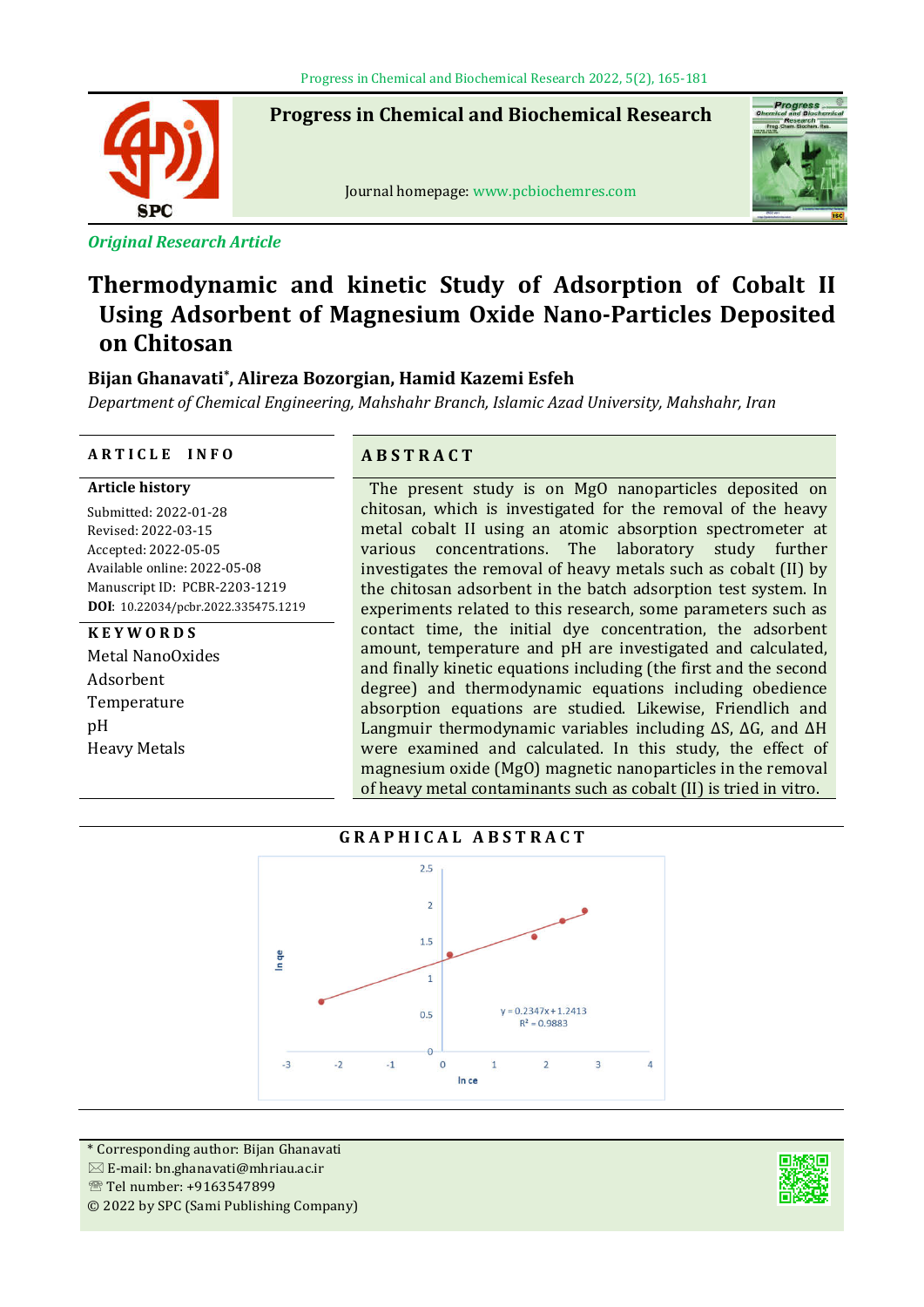**Progress in Chemical and Biochemical Research**



ֺ֞֡

*Original Research Article*

## Journal homepage: www.pcbiochemres.com



# **Thermodynamic and kinetic Study of Adsorption of Cobalt II Using Adsorbent of Magnesium Oxide Nano-Particles Deposited on Chitosan**

## **Bijan Ghanavati\*, Alireza Bozorgian, Hamid Kazemi Esfeh**

*Department of Chemical Engineering, Mahshahr Branch, Islamic Azad University, Mahshahr, Iran*

#### **A R T I C L E I N F O A B S T R A C T**

**Article history**

Submitted: 2022-01-28 Revised: 2022-03-15 Accepted: 2022-05-05 Available online: 2022-05-08 Manuscript ID: PCBR-2203-1219 **DOI**: 10.22034/pcbr.2022.335475.1219

#### **K E Y W O R D S**

Metal NanoOxides Adsorbent Temperature pH Heavy Metals

The present study is on MgO nanoparticles deposited on chitosan, which is investigated for the removal of the heavy metal cobalt II using an atomic absorption spectrometer at various concentrations. The laboratory study further investigates the removal of heavy metals such as cobalt (II) by the chitosan adsorbent in the batch adsorption test system. In experiments related to this research, some parameters such as contact time, the initial dye concentration, the adsorbent amount, temperature and pH are investigated and calculated, and finally kinetic equations including (the first and the second degree) and thermodynamic equations including obedience absorption equations are studied. Likewise, Friendlich and Langmuir thermodynamic variables including ΔS, ΔG, and ΔH were examined and calculated. In this study, the effect of magnesium oxide (MgO) magnetic nanoparticles in the removal of heavy metal contaminants such as cobalt (II) is tried in vitro.

## **G R A P H I C A L A B S T R A C T**



\* Corresponding author: Bijan Ghanavati  $\boxtimes$  E-mail: bn.ghanavati@mhriau.ac.ir Tel number: +9163547899 © 2022 by SPC (Sami Publishing Company)

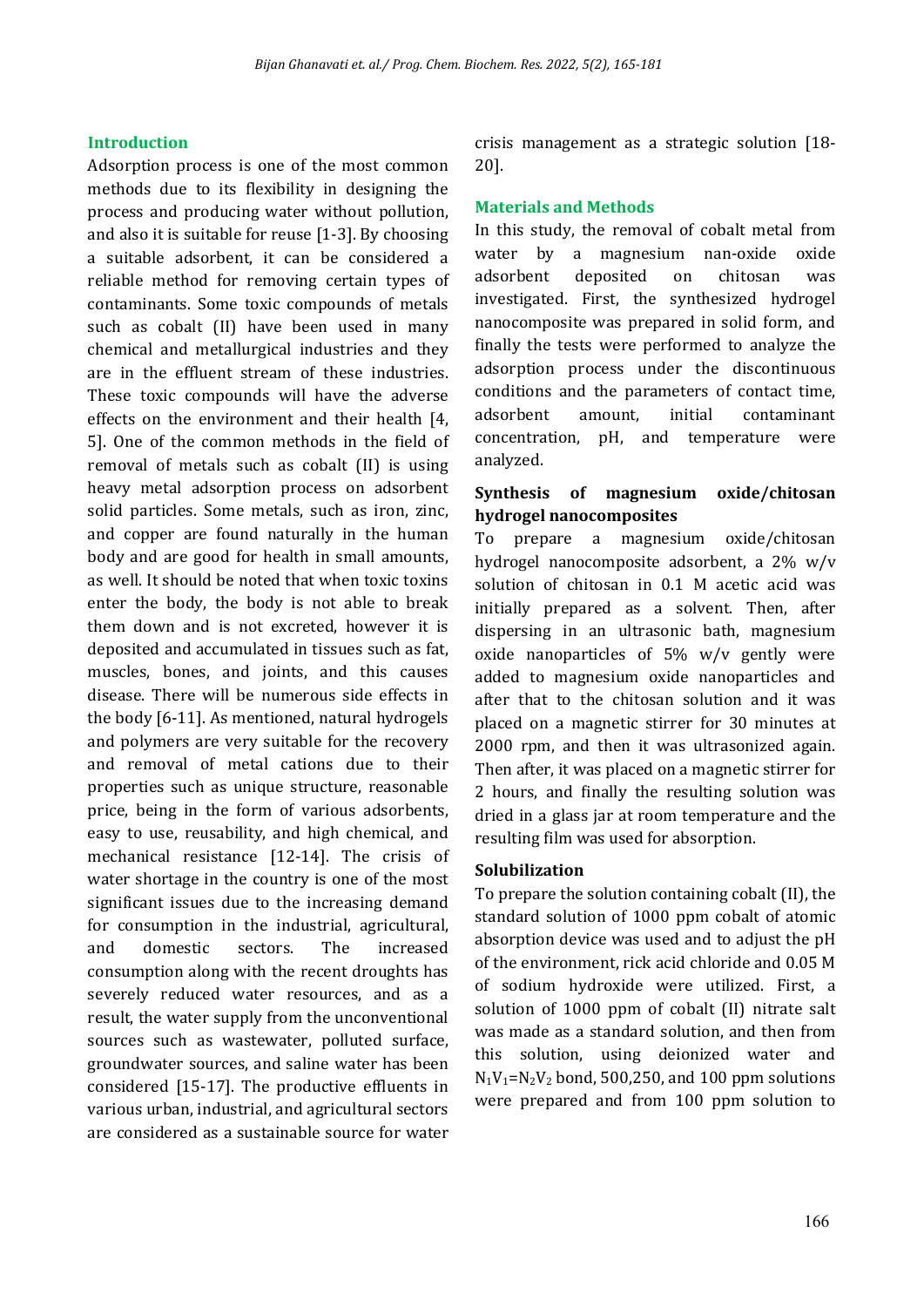#### **Introduction**

Adsorption process is one of the most common methods due to its flexibility in designing the process and producing water without pollution, and also it is suitable for reuse [1-3]. By choosing a suitable adsorbent, it can be considered a reliable method for removing certain types of contaminants. Some toxic compounds of metals such as cobalt (II) have been used in many chemical and metallurgical industries and they are in the effluent stream of these industries. These toxic compounds will have the adverse effects on the environment and their health [4, 5]. One of the common methods in the field of removal of metals such as cobalt (II) is using heavy metal adsorption process on adsorbent solid particles. Some metals, such as iron, zinc, and copper are found naturally in the human body and are good for health in small amounts, as well. It should be noted that when toxic toxins enter the body, the body is not able to break them down and is not excreted, however it is deposited and accumulated in tissues such as fat, muscles, bones, and joints, and this causes disease. There will be numerous side effects in the body [6-11]. As mentioned, natural hydrogels and polymers are very suitable for the recovery and removal of metal cations due to their properties such as unique structure, reasonable price, being in the form of various adsorbents, easy to use, reusability, and high chemical, and mechanical resistance [12-14]. The crisis of water shortage in the country is one of the most significant issues due to the increasing demand for consumption in the industrial, agricultural, and domestic sectors. The increased consumption along with the recent droughts has severely reduced water resources, and as a result, the water supply from the unconventional sources such as wastewater, polluted surface, groundwater sources, and saline water has been considered [15-17]. The productive effluents in various urban, industrial, and agricultural sectors are considered as a sustainable source for water

crisis management as a strategic solution [18- 20].

#### **Materials and Methods**

In this study, the removal of cobalt metal from water by a magnesium nan-oxide oxide adsorbent deposited on chitosan was investigated. First, the synthesized hydrogel nanocomposite was prepared in solid form, and finally the tests were performed to analyze the adsorption process under the discontinuous conditions and the parameters of contact time, adsorbent amount, initial contaminant concentration, pH, and temperature were analyzed.

## **Synthesis of magnesium oxide/chitosan hydrogel nanocomposites**

To prepare a magnesium oxide/chitosan hydrogel nanocomposite adsorbent, a 2% w/v solution of chitosan in 0.1 M acetic acid was initially prepared as a solvent. Then, after dispersing in an ultrasonic bath, magnesium oxide nanoparticles of 5% w/v gently were added to magnesium oxide nanoparticles and after that to the chitosan solution and it was placed on a magnetic stirrer for 30 minutes at 2000 rpm, and then it was ultrasonized again. Then after, it was placed on a magnetic stirrer for 2 hours, and finally the resulting solution was dried in a glass jar at room temperature and the resulting film was used for absorption.

#### **Solubilization**

To prepare the solution containing cobalt (II), the standard solution of 1000 ppm cobalt of atomic absorption device was used and to adjust the pH of the environment, rick acid chloride and 0.05 M of sodium hydroxide were utilized. First, a solution of 1000 ppm of cobalt (II) nitrate salt was made as a standard solution, and then from this solution, using deionized water and  $N_1V_1=N_2V_2$  bond, 500,250, and 100 ppm solutions were prepared and from 100 ppm solution to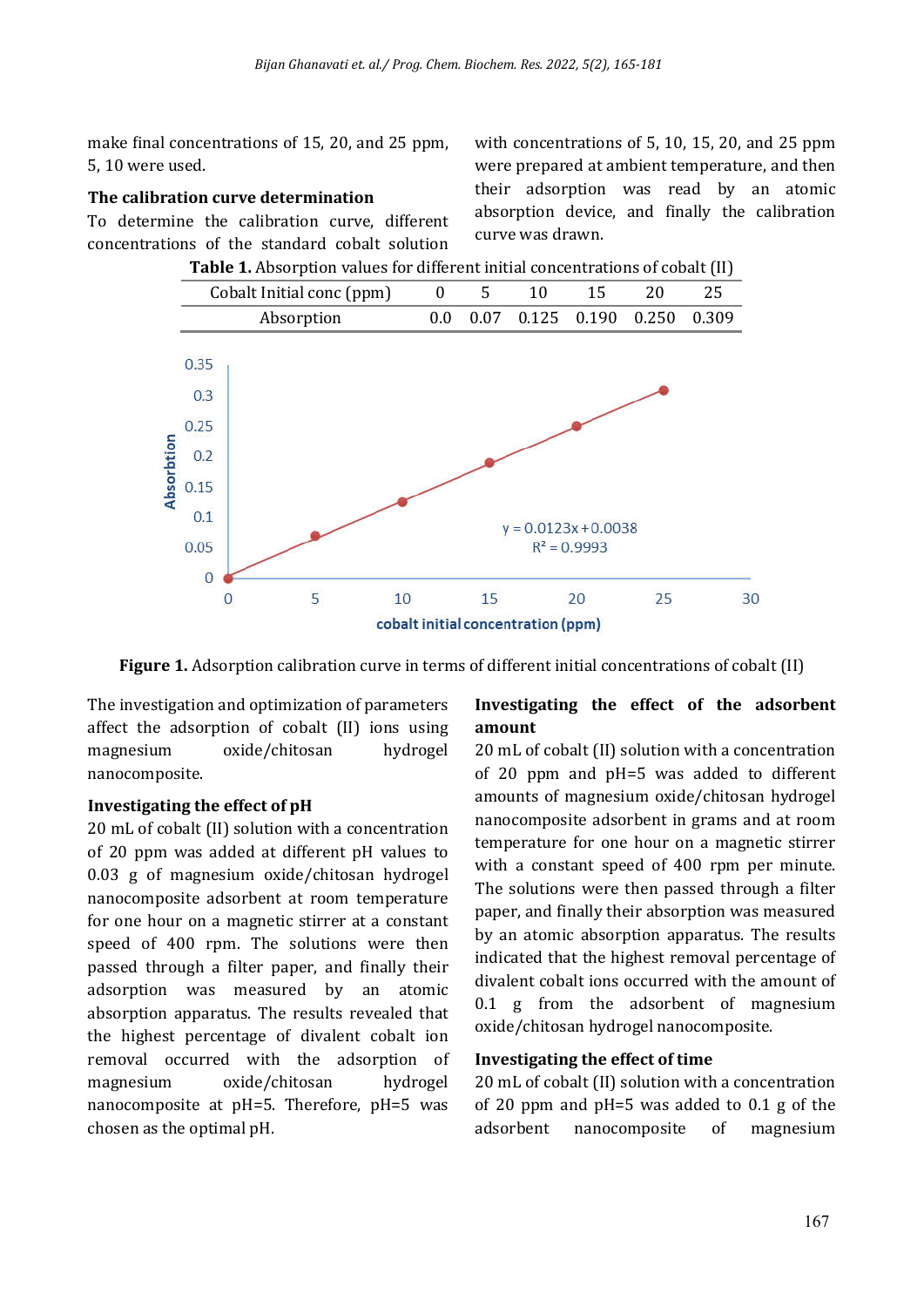make final concentrations of 15, 20, and 25 ppm, 5, 10 were used.

#### **The calibration curve determination**

To determine the calibration curve, different concentrations of the standard cobalt solution

with concentrations of 5, 10, 15, 20, and 25 ppm were prepared at ambient temperature, and then their adsorption was read by an atomic absorption device, and finally the calibration curve was drawn.



**Table 1.** Absorption values for different initial concentrations of cobalt (II)

**Figure 1.** Adsorption calibration curve in terms of different initial concentrations of cobalt (II)

The investigation and optimization of parameters affect the adsorption of cobalt (II) ions using magnesium oxide/chitosan hydrogel nanocomposite.

#### **Investigating the effect of pH**

20 mL of cobalt (II) solution with a concentration of 20 ppm was added at different pH values to 0.03 g of magnesium oxide/chitosan hydrogel nanocomposite adsorbent at room temperature for one hour on a magnetic stirrer at a constant speed of 400 rpm. The solutions were then passed through a filter paper, and finally their adsorption was measured by an atomic absorption apparatus. The results revealed that the highest percentage of divalent cobalt ion removal occurred with the adsorption of magnesium oxide/chitosan hydrogel nanocomposite at pH=5. Therefore, pH=5 was chosen as the optimal pH.

## **Investigating the effect of the adsorbent amount**

20 mL of cobalt (II) solution with a concentration of 20 ppm and pH=5 was added to different amounts of magnesium oxide/chitosan hydrogel nanocomposite adsorbent in grams and at room temperature for one hour on a magnetic stirrer with a constant speed of 400 rpm per minute. The solutions were then passed through a filter paper, and finally their absorption was measured by an atomic absorption apparatus. The results indicated that the highest removal percentage of divalent cobalt ions occurred with the amount of 0.1 g from the adsorbent of magnesium oxide/chitosan hydrogel nanocomposite.

#### **Investigating the effect of time**

20 mL of cobalt (II) solution with a concentration of 20 ppm and pH=5 was added to 0.1 g of the adsorbent nanocomposite of magnesium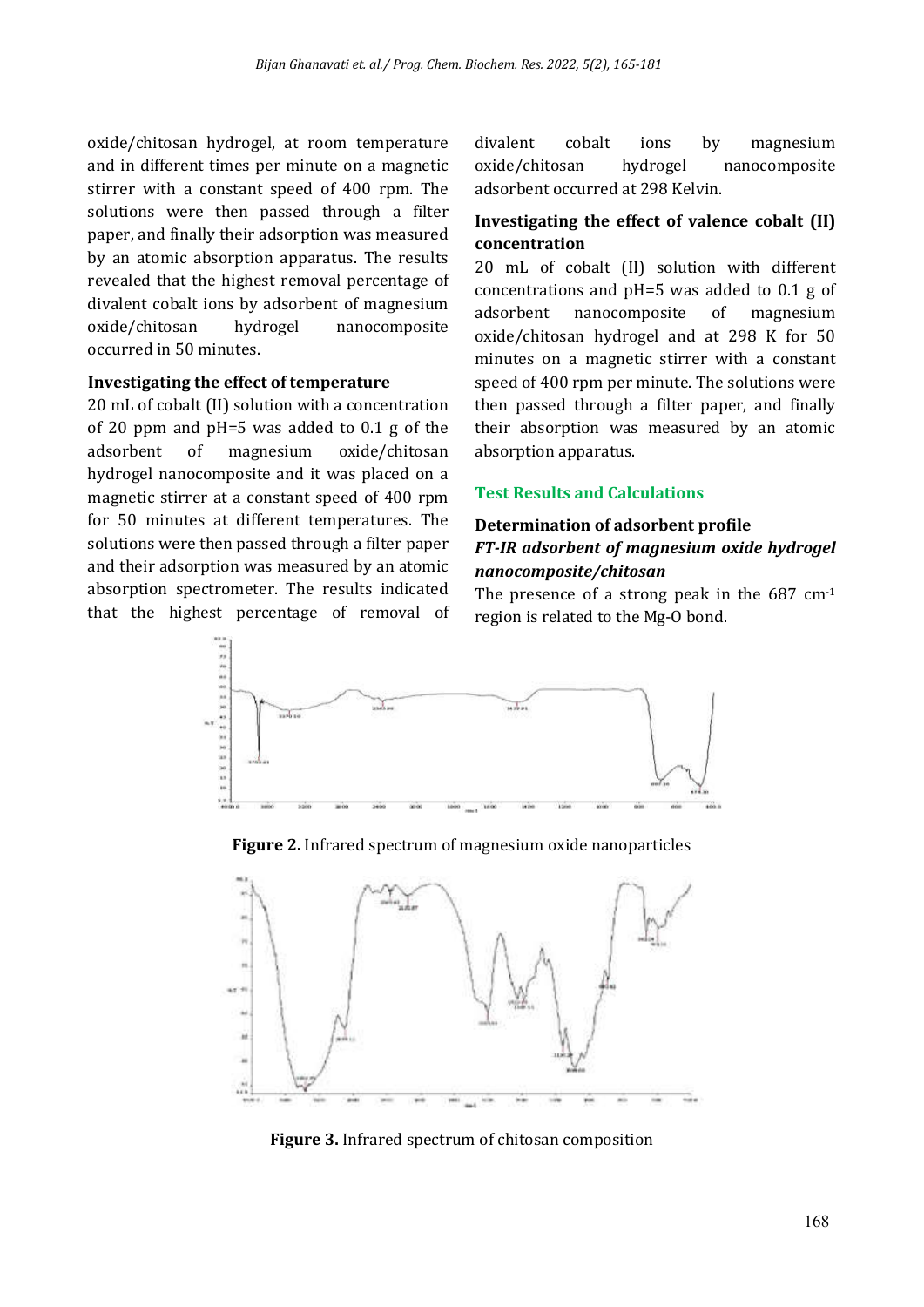oxide/chitosan hydrogel, at room temperature and in different times per minute on a magnetic stirrer with a constant speed of 400 rpm. The solutions were then passed through a filter paper, and finally their adsorption was measured by an atomic absorption apparatus. The results revealed that the highest removal percentage of divalent cobalt ions by adsorbent of magnesium oxide/chitosan hydrogel nanocomposite occurred in 50 minutes.

#### **Investigating the effect of temperature**

20 mL of cobalt (II) solution with a concentration of 20 ppm and pH=5 was added to 0.1 g of the adsorbent of magnesium oxide/chitosan hydrogel nanocomposite and it was placed on a magnetic stirrer at a constant speed of 400 rpm for 50 minutes at different temperatures. The solutions were then passed through a filter paper and their adsorption was measured by an atomic absorption spectrometer. The results indicated that the highest percentage of removal of divalent cobalt ions by magnesium oxide/chitosan hydrogel nanocomposite adsorbent occurred at 298 Kelvin.

## **Investigating the effect of valence cobalt (II) concentration**

20 mL of cobalt (II) solution with different concentrations and pH=5 was added to 0.1 g of adsorbent nanocomposite of magnesium oxide/chitosan hydrogel and at 298 K for 50 minutes on a magnetic stirrer with a constant speed of 400 rpm per minute. The solutions were then passed through a filter paper, and finally their absorption was measured by an atomic absorption apparatus.

#### **Test Results and Calculations**

#### **Determination of adsorbent profile**

#### *FT-IR adsorbent of magnesium oxide hydrogel nanocomposite/chitosan*

The presence of a strong peak in the 687 cm<sup>-1</sup> region is related to the Mg-O bond.



**Figure 2.** Infrared spectrum of magnesium oxide nanoparticles



**Figure 3.** Infrared spectrum of chitosan composition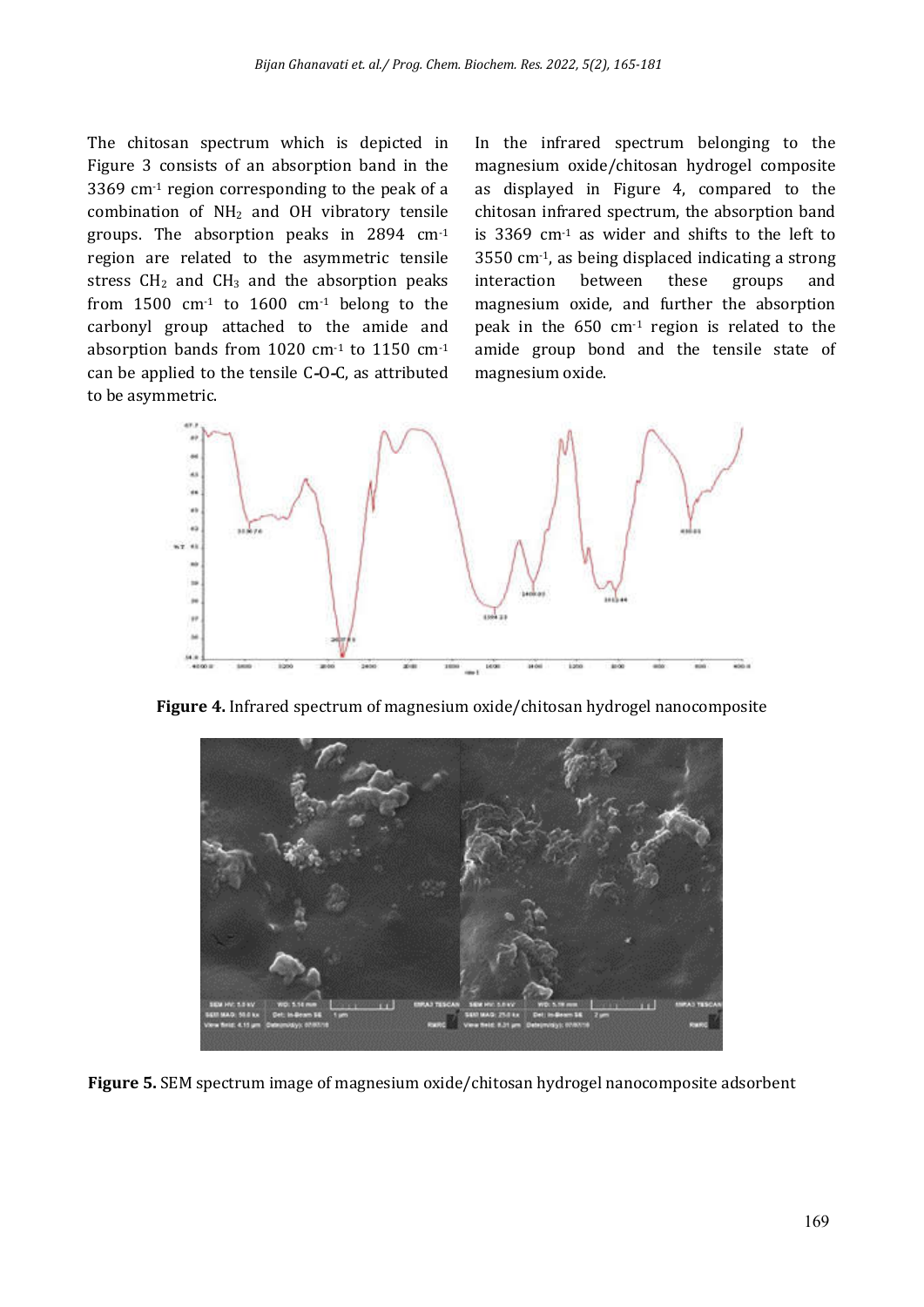The chitosan spectrum which is depicted in Figure 3 consists of an absorption band in the 3369 cm-1 region corresponding to the peak of a combination of NH2 and OH vibratory tensile groups. The absorption peaks in 2894 cm-1 region are related to the asymmetric tensile stress  $CH<sub>2</sub>$  and  $CH<sub>3</sub>$  and the absorption peaks from  $1500 \text{ cm}^{-1}$  to  $1600 \text{ cm}^{-1}$  belong to the carbonyl group attached to the amide and absorption bands from 1020 cm-1 to 1150 cm-1 can be applied to the tensile C**-**O **-**C, as attributed to be asymmetric.

In the infrared spectrum belonging to the magnesium oxide/chitosan hydrogel composite as displayed in Figure 4, compared to the chitosan infrared spectrum, the absorption band is 3369 cm-1 as wider and shifts to the left to 3550 cm-1, as being displaced indicating a strong interaction between these groups and magnesium oxide, and further the absorption peak in the 650 cm-1 region is related to the amide group bond and the tensile state of magnesium oxide.



**Figure 4.** Infrared spectrum of magnesium oxide/chitosan hydrogel nanocomposite



**Figure 5.** SEM spectrum image of magnesium oxide/chitosan hydrogel nanocomposite adsorbent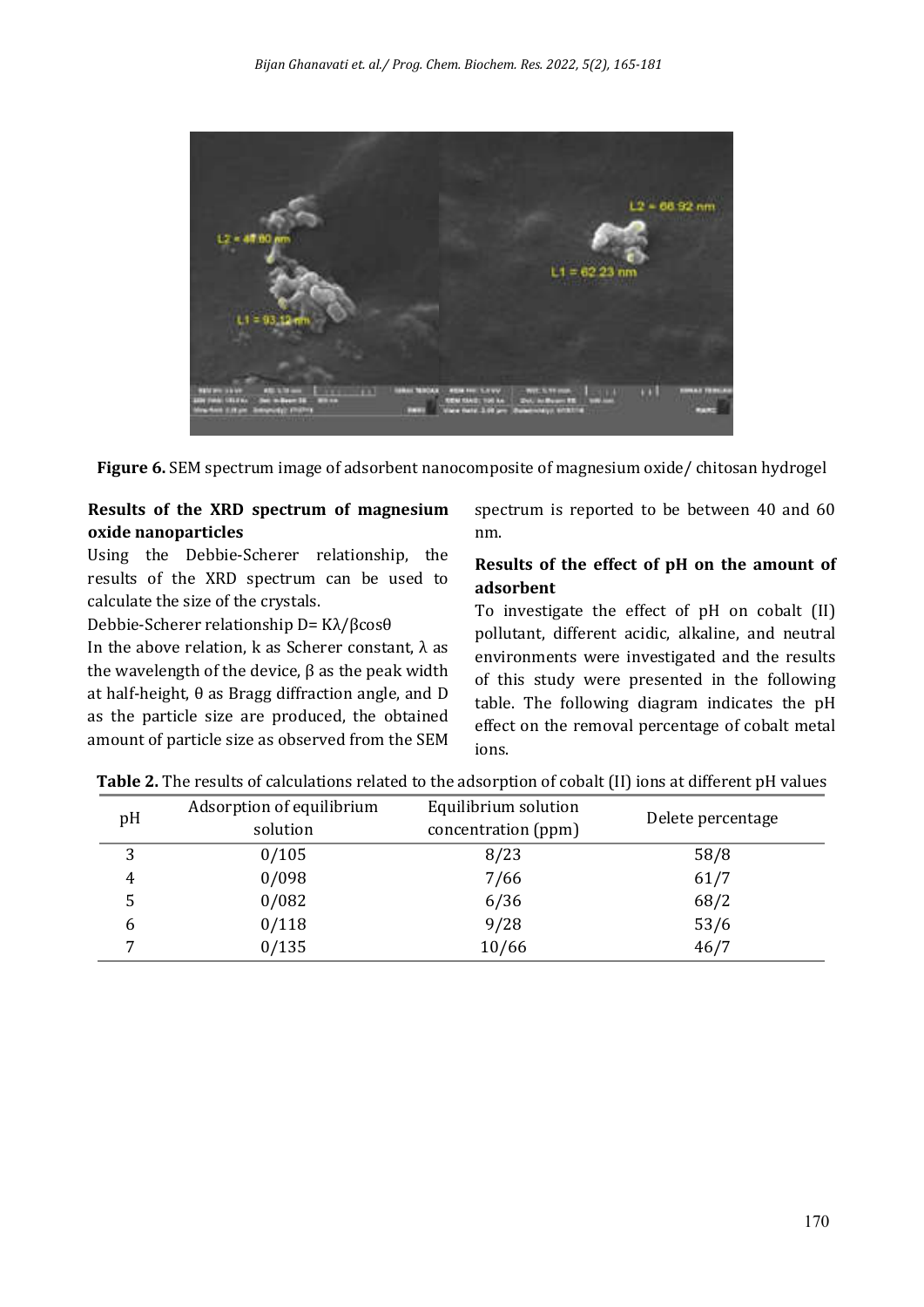

**Figure 6.** SEM spectrum image of adsorbent nanocomposite of magnesium oxide/ chitosan hydrogel

## **Results of the XRD spectrum of magnesium oxide nanoparticles**

Using the Debbie-Scherer relationship, the results of the XRD spectrum can be used to calculate the size of the crystals.

Debbie-Scherer relationship D= Kλ/βcosθ

In the above relation, k as Scherer constant, λ as the wavelength of the device,  $β$  as the peak width at half-height, θ as Bragg diffraction angle, and D as the particle size are produced, the obtained amount of particle size as observed from the SEM spectrum is reported to be between 40 and 60 nm.

## **Results of the effect of pH on the amount of adsorbent**

To investigate the effect of pH on cobalt (II) pollutant, different acidic, alkaline, and neutral environments were investigated and the results of this study were presented in the following table. The following diagram indicates the pH effect on the removal percentage of cobalt metal ions.

| pH | Adsorption of equilibrium | Equilibrium solution | Delete percentage |
|----|---------------------------|----------------------|-------------------|
|    | solution                  | concentration (ppm)  |                   |
| 3  | 0/105                     | 8/23                 | 58/8              |
| 4  | 0/098                     | 7/66                 | 61/7              |
|    | 0/082                     | 6/36                 | 68/2              |
| 6  | 0/118                     | 9/28                 | 53/6              |
| ⇁  | 0/135                     | 10/66                | 46/7              |

**Table 2.** The results of calculations related to the adsorption of cobalt (II) ions at different pH values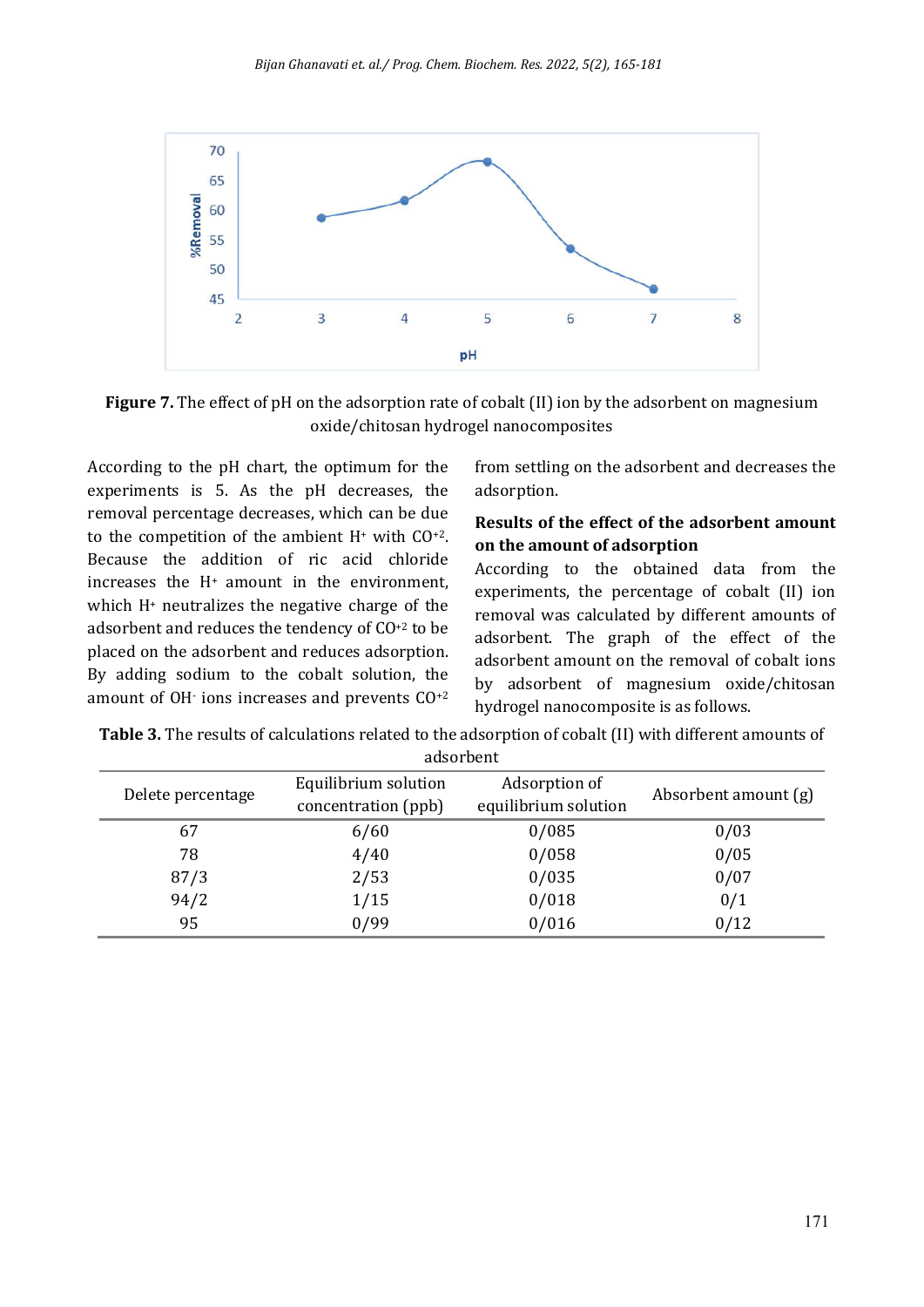

**Figure 7.** The effect of pH on the adsorption rate of cobalt (II) ion by the adsorbent on magnesium oxide/chitosan hydrogel nanocomposites

According to the pH chart, the optimum for the experiments is 5. As the pH decreases, the removal percentage decreases, which can be due to the competition of the ambient  $H^+$  with  $CO^{+2}$ . Because the addition of ric acid chloride increases the H+ amount in the environment, which H+ neutralizes the negative charge of the adsorbent and reduces the tendency of CO+2 to be placed on the adsorbent and reduces adsorption. By adding sodium to the cobalt solution, the amount of OH- ions increases and prevents CO+2 from settling on the adsorbent and decreases the adsorption.

## **Results of the effect of the adsorbent amount on the amount of adsorption**

According to the obtained data from the experiments, the percentage of cobalt (II) ion removal was calculated by different amounts of adsorbent. The graph of the effect of the adsorbent amount on the removal of cobalt ions by adsorbent of magnesium oxide/chitosan hydrogel nanocomposite is as follows.

| <b>Table 3.</b> The results of calculations related to the adsorption of cobalt (II) with different amounts of |
|----------------------------------------------------------------------------------------------------------------|
| adsorbent                                                                                                      |

| Delete percentage | Equilibrium solution<br>concentration (ppb) | Adsorption of<br>equilibrium solution | Absorbent amount (g) |
|-------------------|---------------------------------------------|---------------------------------------|----------------------|
| 67                | 6/60                                        | 0/085                                 | 0/03                 |
| 78                | 4/40                                        | 0/058                                 | 0/05                 |
| 87/3              | 2/53                                        | 0/035                                 | 0/07                 |
| 94/2              | 1/15                                        | 0/018                                 | 0/1                  |
| 95                | 0/99                                        | 0/016                                 | 0/12                 |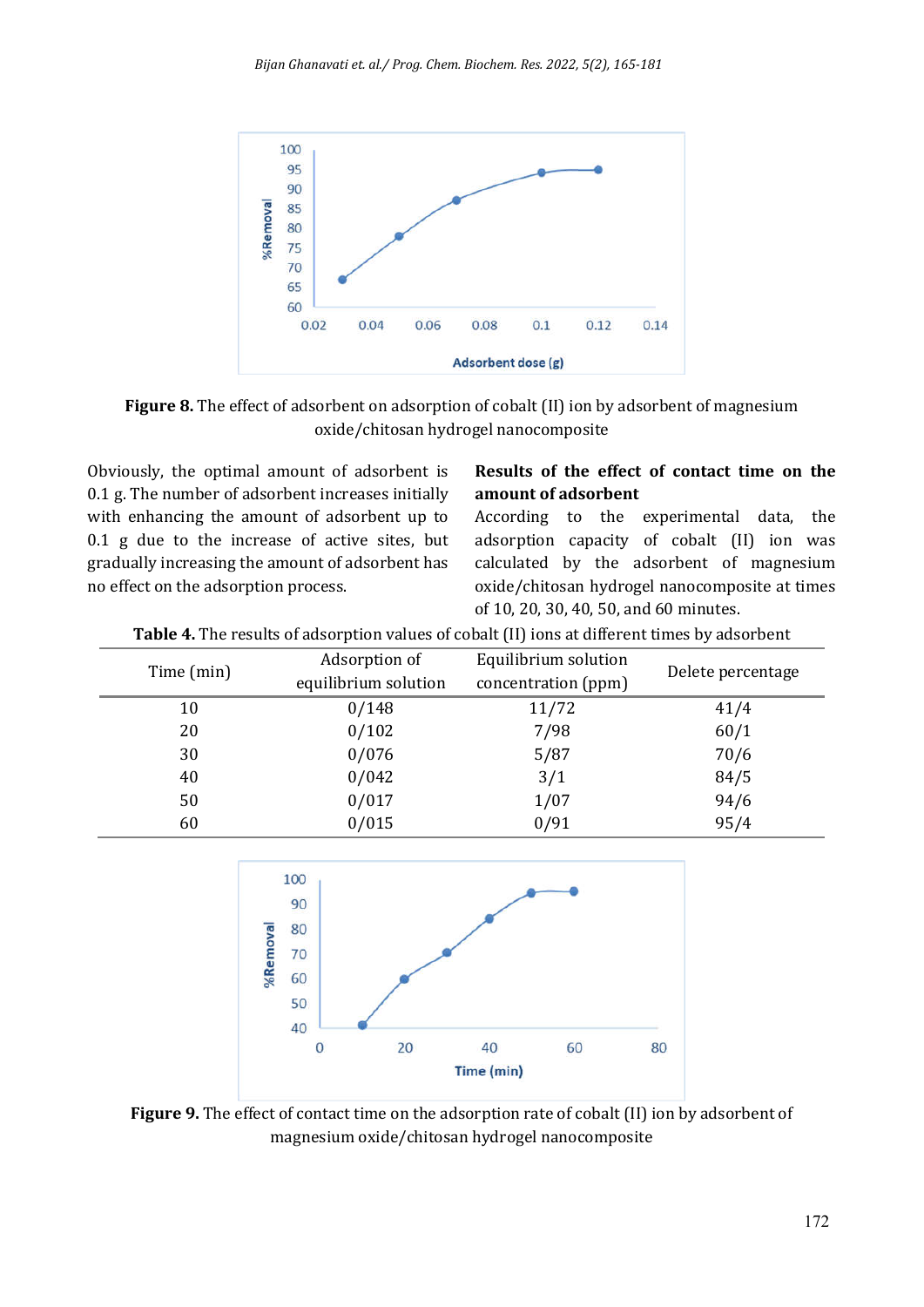

**Figure 8.** The effect of adsorbent on adsorption of cobalt (II) ion by adsorbent of magnesium oxide/chitosan hydrogel nanocomposite

Obviously, the optimal amount of adsorbent is 0.1 g. The number of adsorbent increases initially with enhancing the amount of adsorbent up to 0.1 g due to the increase of active sites, but gradually increasing the amount of adsorbent has no effect on the adsorption process.

## **Results of the effect of contact time on the amount of adsorbent**

According to the experimental data, the adsorption capacity of cobalt (II) ion was calculated by the adsorbent of magnesium oxide/chitosan hydrogel nanocomposite at times of 10, 20, 30, 40, 50, and 60 minutes.

|  |  | <b>Table 4.</b> The results of adsorption values of cobalt (II) ions at different times by adsorbent |  |
|--|--|------------------------------------------------------------------------------------------------------|--|
|  |  |                                                                                                      |  |

| Time (min) | Adsorption of<br>equilibrium solution | Equilibrium solution<br>concentration (ppm) | Delete percentage |
|------------|---------------------------------------|---------------------------------------------|-------------------|
| 10         | 0/148                                 | 11/72                                       | 41/4              |
| 20         | 0/102                                 | 7/98                                        | 60/1              |
| 30         | 0/076                                 | 5/87                                        | 70/6              |
| 40         | 0/042                                 | 3/1                                         | 84/5              |
| 50         | 0/017                                 | 1/07                                        | 94/6              |
| 60         | 0/015                                 | 0/91                                        | 95/4              |



**Figure 9.** The effect of contact time on the adsorption rate of cobalt (II) ion by adsorbent of magnesium oxide/chitosan hydrogel nanocomposite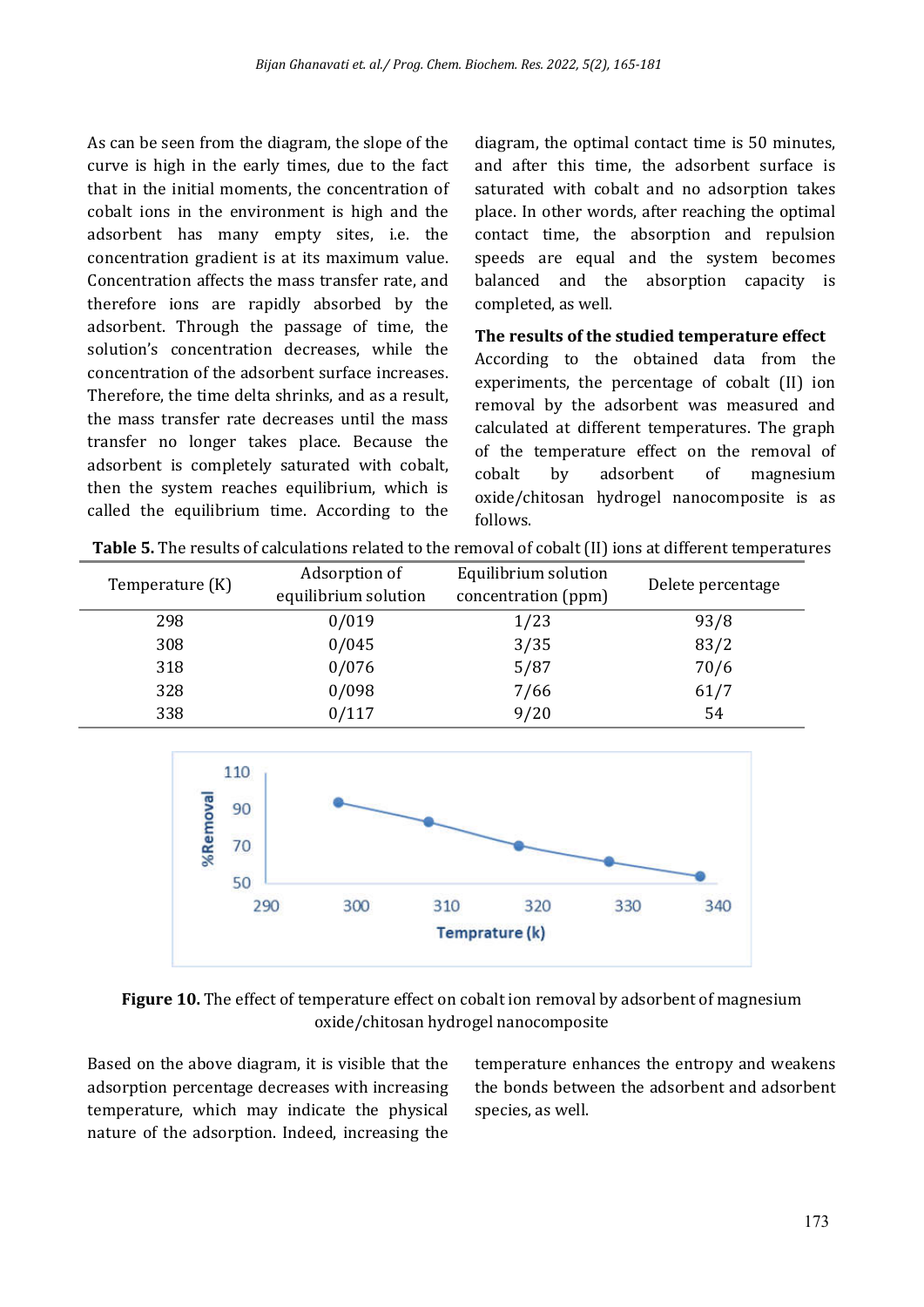As can be seen from the diagram, the slope of the curve is high in the early times, due to the fact that in the initial moments, the concentration of cobalt ions in the environment is high and the adsorbent has many empty sites, i.e. the concentration gradient is at its maximum value. Concentration affects the mass transfer rate, and therefore ions are rapidly absorbed by the adsorbent. Through the passage of time, the solution's concentration decreases, while the concentration of the adsorbent surface increases. Therefore, the time delta shrinks, and as a result, the mass transfer rate decreases until the mass transfer no longer takes place. Because the adsorbent is completely saturated with cobalt, then the system reaches equilibrium, which is called the equilibrium time. According to the diagram, the optimal contact time is 50 minutes, and after this time, the adsorbent surface is saturated with cobalt and no adsorption takes place. In other words, after reaching the optimal contact time, the absorption and repulsion speeds are equal and the system becomes balanced and the absorption capacity is completed, as well.

#### **The results of the studied temperature effect**

According to the obtained data from the experiments, the percentage of cobalt (II) ion removal by the adsorbent was measured and calculated at different temperatures. The graph of the temperature effect on the removal of cobalt by adsorbent of magnesium oxide/chitosan hydrogel nanocomposite is as follows.

| Temperature (K) | Adsorption of<br>equilibrium solution | Equilibrium solution<br>concentration (ppm) | Delete percentage |
|-----------------|---------------------------------------|---------------------------------------------|-------------------|
| 298             | 0/019                                 | 1/23                                        | 93/8              |
| 308             | 0/045                                 | 3/35                                        | 83/2              |
| 318             | 0/076                                 | 5/87                                        | 70/6              |
| 328             | 0/098                                 | 7/66                                        | 61/7              |
| 338             | 0/117                                 | 9/20                                        | 54                |







Based on the above diagram, it is visible that the adsorption percentage decreases with increasing temperature, which may indicate the physical nature of the adsorption. Indeed, increasing the

temperature enhances the entropy and weakens the bonds between the adsorbent and adsorbent species, as well.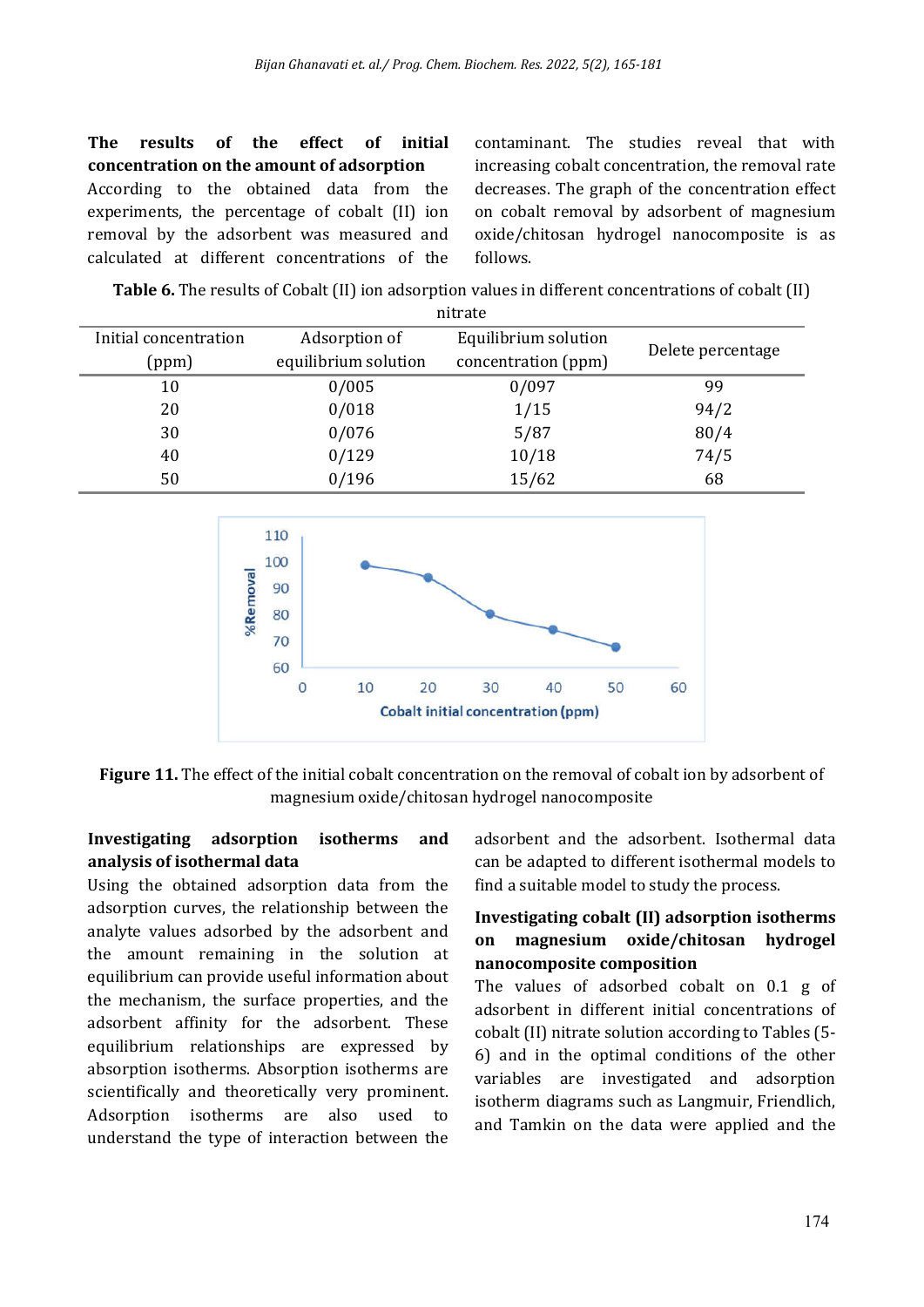**The results of the effect of initial concentration on the amount of adsorption** According to the obtained data from the experiments, the percentage of cobalt (II) ion removal by the adsorbent was measured and calculated at different concentrations of the

contaminant. The studies reveal that with increasing cobalt concentration, the removal rate decreases. The graph of the concentration effect on cobalt removal by adsorbent of magnesium oxide/chitosan hydrogel nanocomposite is as follows.

**Table 6.** The results of Cobalt (II) ion adsorption values in different concentrations of cobalt (II)

|                       | nitrate              |                      |                   |  |  |
|-----------------------|----------------------|----------------------|-------------------|--|--|
| Initial concentration | Adsorption of        | Equilibrium solution |                   |  |  |
| (ppm)                 | equilibrium solution | concentration (ppm)  | Delete percentage |  |  |
| 10                    | 0/005                | 0/097                | 99                |  |  |
| 20                    | 0/018                | 1/15                 | 94/2              |  |  |
| 30                    | 0/076                | 5/87                 | 80/4              |  |  |
| 40                    | 0/129                | 10/18                | 74/5              |  |  |
| 50                    | 0/196                | 15/62                | 68                |  |  |



**Figure 11.** The effect of the initial cobalt concentration on the removal of cobalt ion by adsorbent of magnesium oxide/chitosan hydrogel nanocomposite

## **Investigating adsorption isotherms and analysis of isothermal data**

Using the obtained adsorption data from the adsorption curves, the relationship between the analyte values adsorbed by the adsorbent and the amount remaining in the solution at equilibrium can provide useful information about the mechanism, the surface properties, and the adsorbent affinity for the adsorbent. These equilibrium relationships are expressed by absorption isotherms. Absorption isotherms are scientifically and theoretically very prominent. Adsorption isotherms are also used to understand the type of interaction between the adsorbent and the adsorbent. Isothermal data can be adapted to different isothermal models to find a suitable model to study the process.

## **Investigating cobalt (II) adsorption isotherms on magnesium oxide/chitosan hydrogel nanocomposite composition**

The values of adsorbed cobalt on 0.1 g of adsorbent in different initial concentrations of cobalt (II) nitrate solution according to Tables (5- 6) and in the optimal conditions of the other variables are investigated and adsorption isotherm diagrams such as Langmuir, Friendlich, and Tamkin on the data were applied and the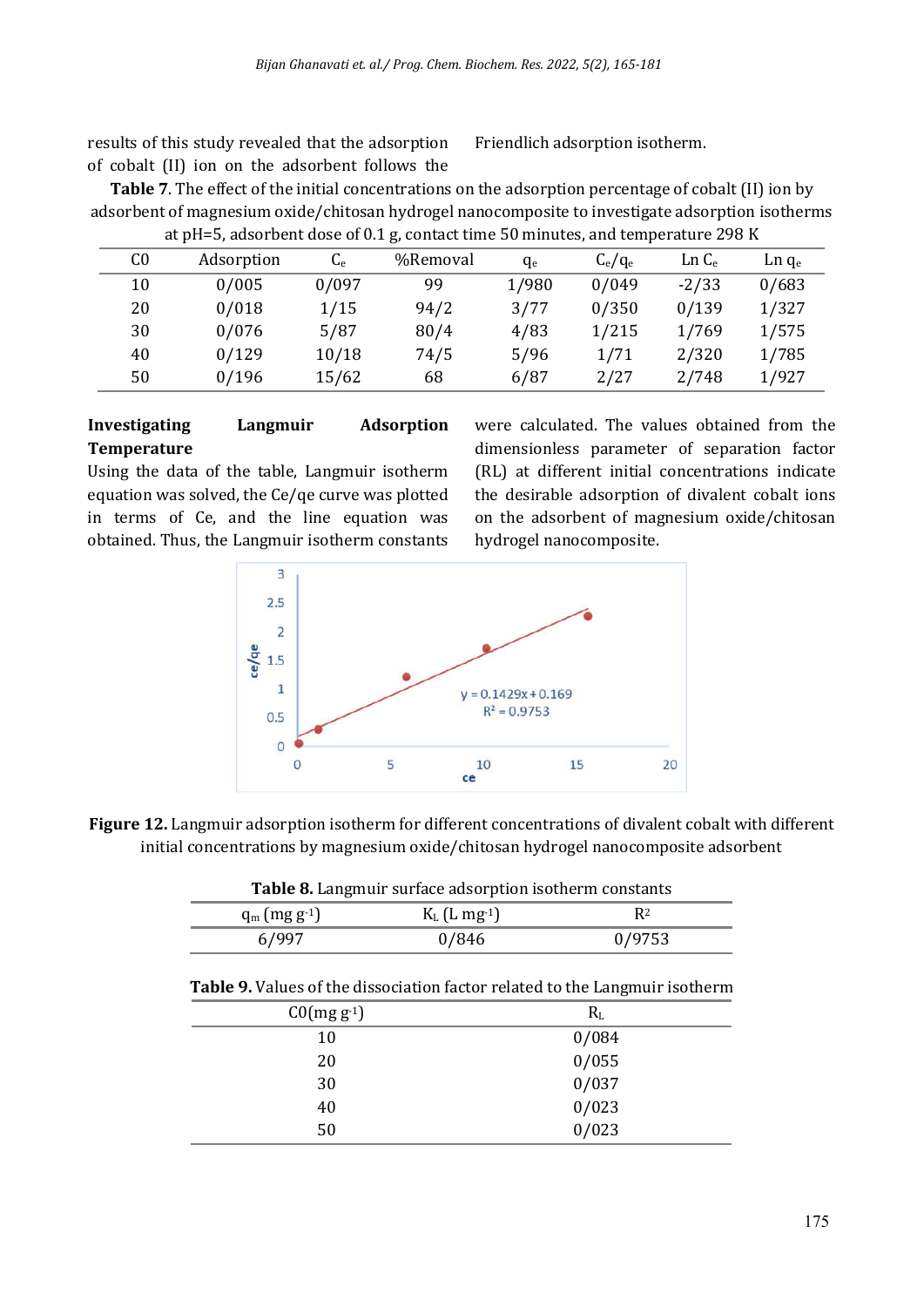results of this study revealed that the adsorption of cobalt (II) ion on the adsorbent follows the

Friendlich adsorption isotherm.

**Table 7**. The effect of the initial concentrations on the adsorption percentage of cobalt (II) ion by adsorbent of magnesium oxide/chitosan hydrogel nanocomposite to investigate adsorption isotherms at pH=5, adsorbent dose of 0.1 g, contact time 50 minutes, and temperature 298 K

| C0 | Adsorption | $C_{e}$ | %Removal | $q_e$ | $C_e/q_e$ | Ln C <sub>e</sub> | Ln q <sub>e</sub> |
|----|------------|---------|----------|-------|-----------|-------------------|-------------------|
| 10 | 0/005      | 0/097   | 99       | 1/980 | 0/049     | $-2/33$           | 0/683             |
| 20 | 0/018      | 1/15    | 94/2     | 3/77  | 0/350     | 0/139             | 1/327             |
| 30 | 0/076      | 5/87    | 80/4     | 4/83  | 1/215     | 1/769             | 1/575             |
| 40 | 0/129      | 10/18   | 74/5     | 5/96  | 1/71      | 2/320             | 1/785             |
| 50 | 0/196      | 15/62   | 68       | 6/87  | 2/27      | 2/748             | 1/927             |

## **Investigating Langmuir Adsorption Temperature**

Using the data of the table, Langmuir isotherm equation was solved, the Ce/qe curve was plotted in terms of Ce, and the line equation was obtained. Thus, the Langmuir isotherm constants were calculated. The values obtained from the dimensionless parameter of separation factor (RL) at different initial concentrations indicate the desirable adsorption of divalent cobalt ions on the adsorbent of magnesium oxide/chitosan hydrogel nanocomposite.



**Figure 12.** Langmuir adsorption isotherm for different concentrations of divalent cobalt with different initial concentrations by magnesium oxide/chitosan hydrogel nanocomposite adsorbent

|  | <b>Table 8.</b> Langmuir surface adsorption isotherm constants |
|--|----------------------------------------------------------------|
|--|----------------------------------------------------------------|

|                             | $\cdot$                       |        |  |
|-----------------------------|-------------------------------|--------|--|
| $q_m$ (mg g <sup>-1</sup> ) | $K_{L}$ (L mg <sup>-1</sup> ) |        |  |
| 6799                        | 0/846                         | 0/9753 |  |
|                             |                               |        |  |

| $C0(mg g-1)$ | $R_L$ |
|--------------|-------|
| 10           | 0/084 |
| 20           | 0/055 |
| 30           | 0/037 |
| 40           | 0/023 |
| 50           | 0/023 |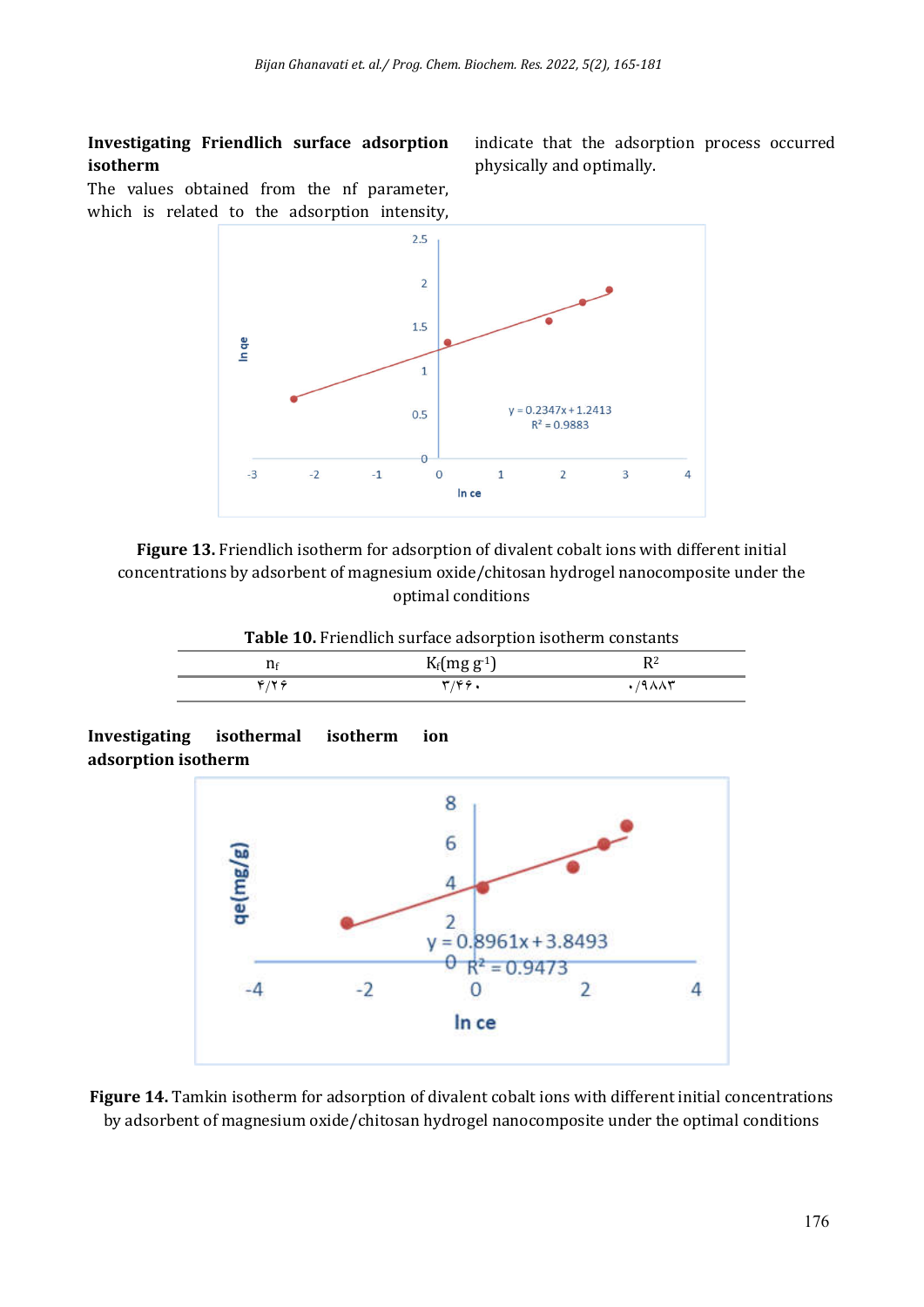## **Investigating Friendlich surface adsorption isotherm**

indicate that the adsorption process occurred physically and optimally.

The values obtained from the nf parameter, which is related to the adsorption intensity,



**Figure 13.** Friendlich isotherm for adsorption of divalent cobalt ions with different initial concentrations by adsorbent of magnesium oxide/chitosan hydrogel nanocomposite under the optimal conditions

**Table 10.** Friendlich surface adsorption isotherm constants

|        | $K_f(mg\ g^{-1})$ | n·<br>$ -$         |
|--------|-------------------|--------------------|
| ے یہ ت | ے عدر سو          | $\lambda$<br>,,,,, |



**Figure 14.** Tamkin isotherm for adsorption of divalent cobalt ions with different initial concentrations by adsorbent of magnesium oxide/chitosan hydrogel nanocomposite under the optimal conditions

**Investigating isothermal isotherm ion adsorption isotherm**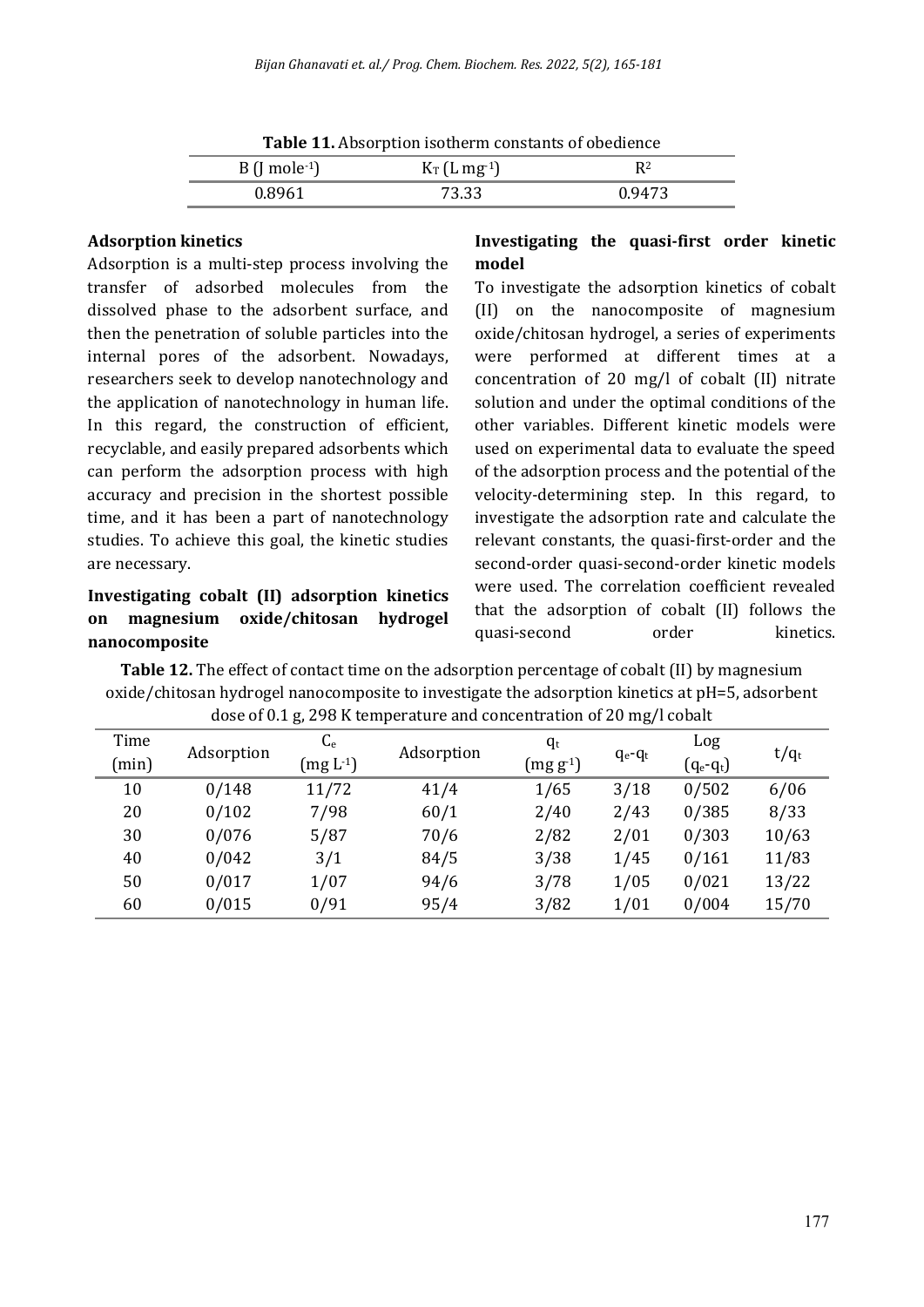| <b>Table 11.</b> Absolution isomerin constants of obeginner |                |                |  |
|-------------------------------------------------------------|----------------|----------------|--|
| $B$ (J mole <sup>-1</sup> )                                 | $K_T$ (L mg-1) | R <sub>2</sub> |  |
| 0.8961                                                      | 73.33          | 0.9473         |  |

**Table 11.** Absorption isotherm constants of obedience

#### **Adsorption kinetics**

Adsorption is a multi-step process involving the transfer of adsorbed molecules from the dissolved phase to the adsorbent surface, and then the penetration of soluble particles into the internal pores of the adsorbent. Nowadays, researchers seek to develop nanotechnology and the application of nanotechnology in human life. In this regard, the construction of efficient, recyclable, and easily prepared adsorbents which can perform the adsorption process with high accuracy and precision in the shortest possible time, and it has been a part of nanotechnology studies. To achieve this goal, the kinetic studies are necessary.

## **Investigating cobalt (II) adsorption kinetics on magnesium oxide/chitosan hydrogel nanocomposite**

## **Investigating the quasi-first order kinetic model**

To investigate the adsorption kinetics of cobalt (II) on the nanocomposite of magnesium oxide/chitosan hydrogel, a series of experiments were performed at different times at a concentration of 20 mg/l of cobalt (II) nitrate solution and under the optimal conditions of the other variables. Different kinetic models were used on experimental data to evaluate the speed of the adsorption process and the potential of the velocity-determining step. In this regard, to investigate the adsorption rate and calculate the relevant constants, the quasi-first-order and the second-order quasi-second-order kinetic models were used. The correlation coefficient revealed that the adsorption of cobalt (II) follows the quasi-second order kinetics.

**Table 12.** The effect of contact time on the adsorption percentage of cobalt (II) by magnesium oxide/chitosan hydrogel nanocomposite to investigate the adsorption kinetics at pH=5, adsorbent dose of 0.1 g, 298 K temperature and concentration of 20 mg/l cobalt

| Time  | Adsorption | $C_{e}$    | Adsorption | $q_t$                                 |             | Log         |         |
|-------|------------|------------|------------|---------------------------------------|-------------|-------------|---------|
| (min) |            | $(mg L-1)$ |            | $(\mathrm{mg}\, \mathrm{g\text{-}1})$ | $q_e - q_t$ | $(q_e-q_t)$ | $t/q_t$ |
| 10    | 0/148      | 11/72      | 41/4       | 1/65                                  | 3/18        | 0/502       | 6/06    |
| 20    | 0/102      | 7/98       | 60/1       | 2/40                                  | 2/43        | 0/385       | 8/33    |
| 30    | 0/076      | 5/87       | 70/6       | 2/82                                  | 2/01        | 0/303       | 10/63   |
| 40    | 0/042      | 3/1        | 84/5       | 3/38                                  | 1/45        | 0/161       | 11/83   |
| 50    | 0/017      | 1/07       | 94/6       | 3/78                                  | 1/05        | 0/021       | 13/22   |
| 60    | 0/015      | 0/91       | 95/4       | 3/82                                  | 1/01        | 0/004       | 15/70   |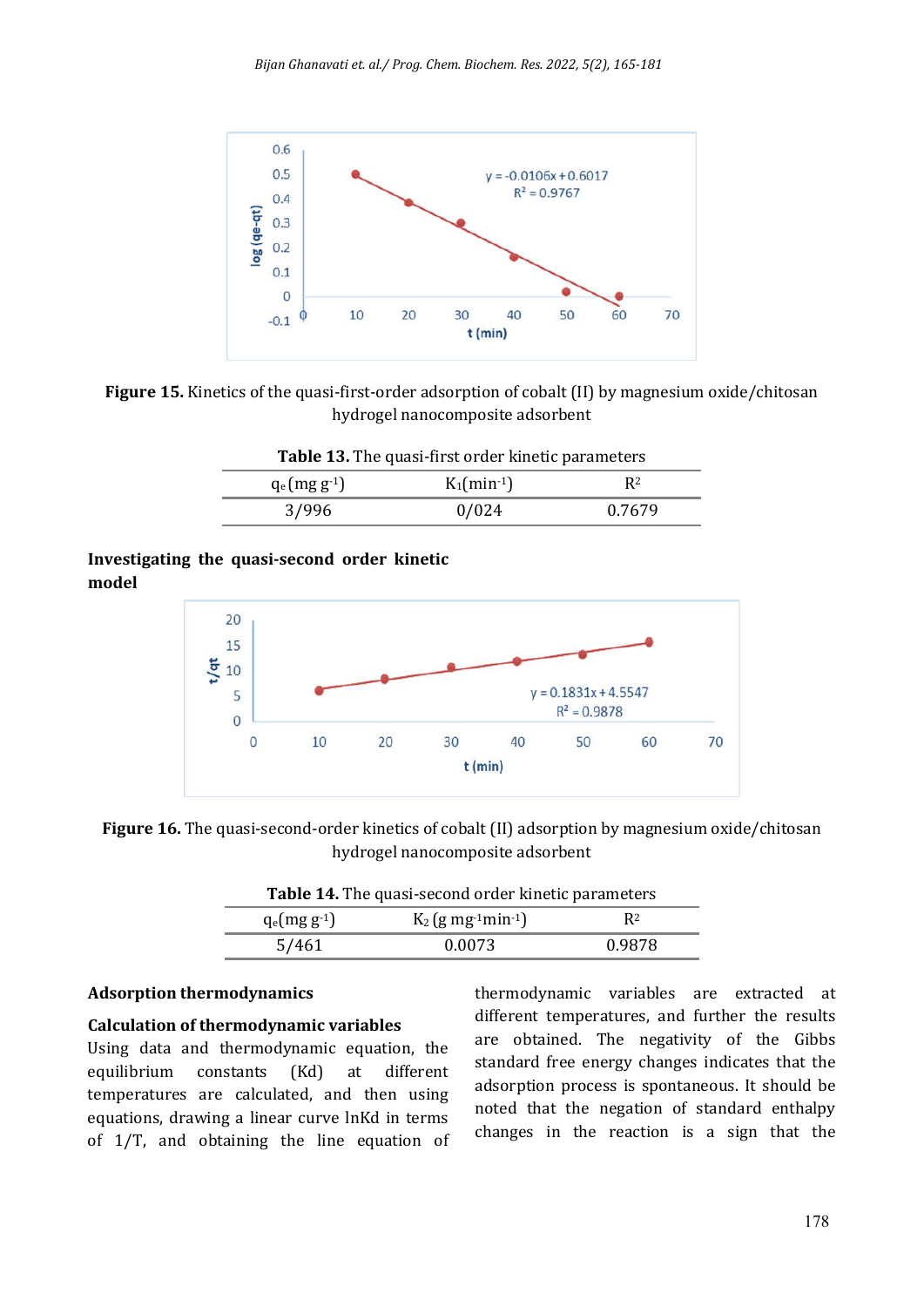

**Figure 15.** Kinetics of the quasi-first-order adsorption of cobalt (II) by magnesium oxide/chitosan hydrogel nanocomposite adsorbent

| <b>Table 13.</b> The quasi-first order kinetic parameters                   |       |        |  |  |
|-----------------------------------------------------------------------------|-------|--------|--|--|
| $K_1$ (min <sup>-1</sup> )<br>R <sup>2</sup><br>$q_e$ (mg g <sup>-1</sup> ) |       |        |  |  |
| 3/996                                                                       | 0/024 | 0.7679 |  |  |

## **Investigating the quasi-second order kinetic model**



**Figure 16.** The quasi-second-order kinetics of cobalt (II) adsorption by magnesium oxide/chitosan hydrogel nanocomposite adsorbent

| <b>Table 14.</b> The quasi-second order Kinetic parameters |                                               |                |  |
|------------------------------------------------------------|-----------------------------------------------|----------------|--|
| $q_e(mg\,g^{-1})$                                          | $K_2$ (g mg <sup>-1</sup> min <sup>-1</sup> ) | R <sub>2</sub> |  |
| 5/461                                                      | 0.0073                                        | 0.9878         |  |

#### **Adsorption thermodynamics**

#### **Calculation of thermodynamic variables**

Using data and thermodynamic equation, the equilibrium constants (Kd) at different temperatures are calculated, and then using equations, drawing a linear curve lnKd in terms of 1/T, and obtaining the line equation of thermodynamic variables are extracted at different temperatures, and further the results are obtained. The negativity of the Gibbs standard free energy changes indicates that the adsorption process is spontaneous. It should be noted that the negation of standard enthalpy changes in the reaction is a sign that the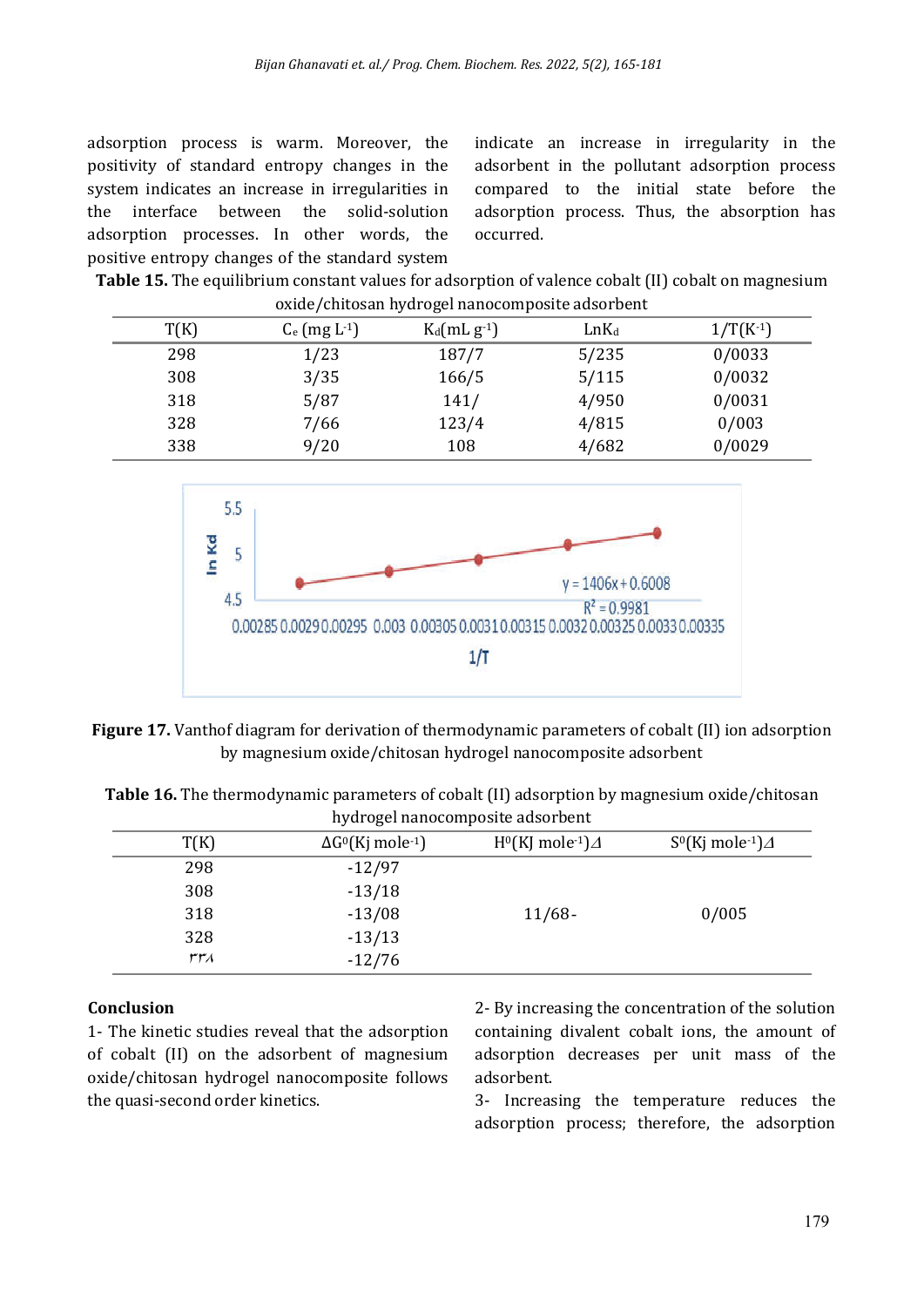adsorption process is warm. Moreover, the positivity of standard entropy changes in the system indicates an increase in irregularities in the interface between the solid-solution adsorption processes. In other words, the positive entropy changes of the standard system

indicate an increase in irregularity in the adsorbent in the pollutant adsorption process compared to the initial state before the adsorption process. Thus, the absorption has occurred.

**Table 15.** The equilibrium constant values for adsorption of valence cobalt (II) cobalt on magnesium oxide/chitosan hydrogel nanocomposite adsorbent

| T(K) | $C_e$ (mg $L^{-1}$ ) | $K_d(mLg^{-1})$ | $LnK_d$ | $1/T(K-1)$ |
|------|----------------------|-----------------|---------|------------|
| 298  | 1/23                 | 187/7           | 5/235   | 0/0033     |
| 308  | 3/35                 | 166/5           | 5/115   | 0/0032     |
| 318  | 5/87                 | 141/            | 4/950   | 0/0031     |
| 328  | 7/66                 | 123/4           | 4/815   | 0/003      |
| 338  | 9/20                 | 108             | 4/682   | 0/0029     |



**Figure 17.** Vanthof diagram for derivation of thermodynamic parameters of cobalt (II) ion adsorption by magnesium oxide/chitosan hydrogel nanocomposite adsorbent

**Table 16.** The thermodynamic parameters of cobalt (II) adsorption by magnesium oxide/chitosan hydrogel nanocomposite adsorbent

| T(K)   | $\Delta G^{0}$ (Kj mole <sup>-1</sup> ) | $H^0(KJ \text{ mole}^{-1})\Delta$ | $S^{0}$ (Kj mole-1) $\Delta$ |
|--------|-----------------------------------------|-----------------------------------|------------------------------|
| 298    | $-12/97$                                |                                   |                              |
| 308    | $-13/18$                                |                                   |                              |
| 318    | $-13/08$                                | $11/68 -$                         | 0/005                        |
| 328    | $-13/13$                                |                                   |                              |
| الهوسل | $-12/76$                                |                                   |                              |

## **Conclusion**

1- The kinetic studies reveal that the adsorption of cobalt (II) on the adsorbent of magnesium oxide/chitosan hydrogel nanocomposite follows the quasi-second order kinetics.

2- By increasing the concentration of the solution containing divalent cobalt ions, the amount of adsorption decreases per unit mass of the adsorbent.

3- Increasing the temperature reduces the adsorption process; therefore, the adsorption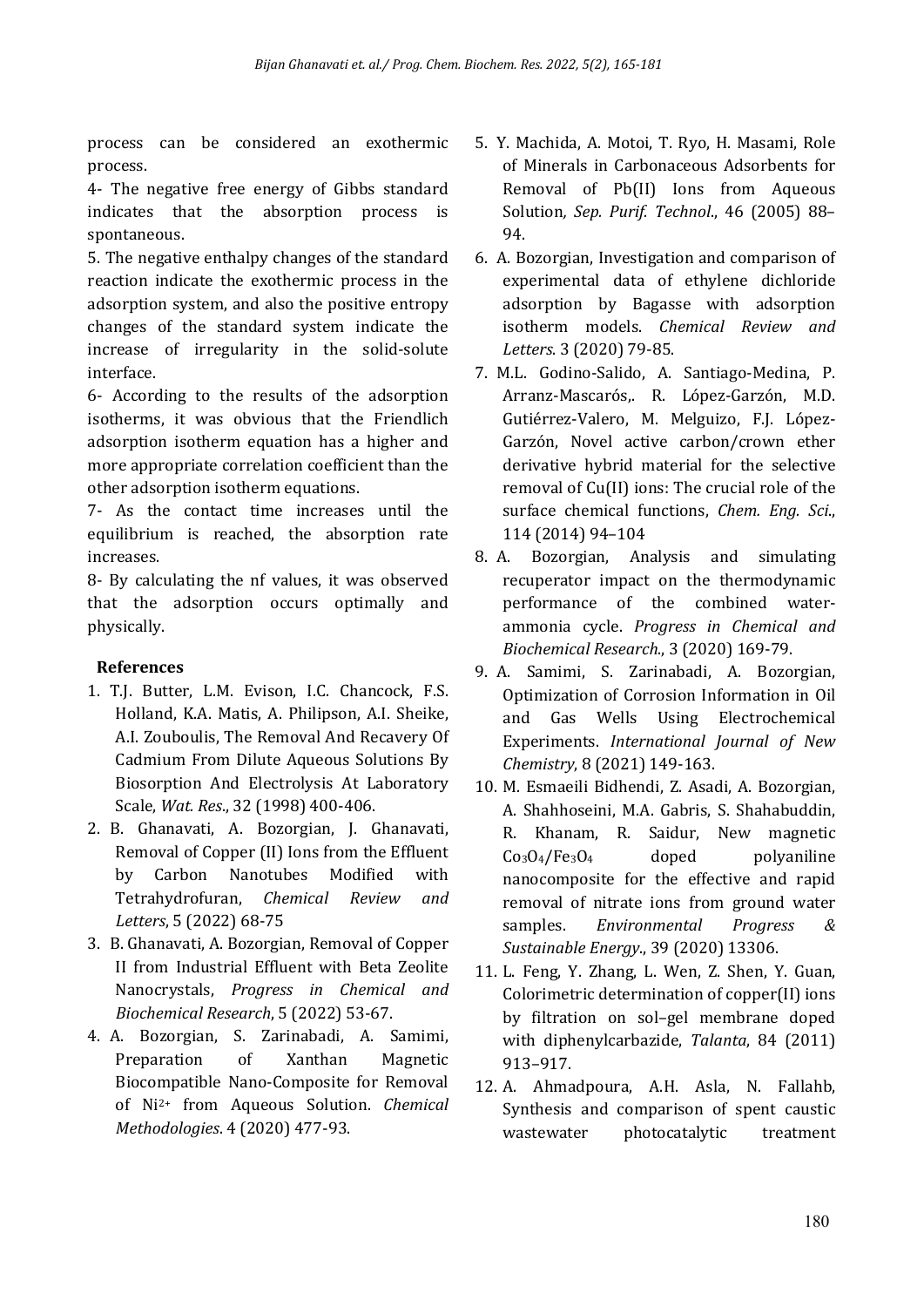process can be considered an exothermic process.

4- The negative free energy of Gibbs standard indicates that the absorption process is spontaneous.

5. The negative enthalpy changes of the standard reaction indicate the exothermic process in the adsorption system, and also the positive entropy changes of the standard system indicate the increase of irregularity in the solid-solute interface.

6- According to the results of the adsorption isotherms, it was obvious that the Friendlich adsorption isotherm equation has a higher and more appropriate correlation coefficient than the other adsorption isotherm equations.

7- As the contact time increases until the equilibrium is reached, the absorption rate increases.

8- By calculating the nf values, it was observed that the adsorption occurs optimally and physically.

## **References**

- 1. T.J. Butter, L.M. Evison, I.C. Chancock, F.S. Holland, K.A. Matis, A. Philipson, A.I. Sheike, A.I. Zouboulis, The Removal And Recavery Of Cadmium From Dilute Aqueous Solutions By Biosorption And Electrolysis At Laboratory Scale, *Wat. Res*., 32 (1998) 400-406.
- 2. B. Ghanavati, A. Bozorgian, J. Ghanavati, Removal of Copper (II) Ions from the Effluent by Carbon Nanotubes Modified with Tetrahydrofuran, *Chemical Review and Letters*, 5 (2022) 68-75
- 3. B. Ghanavati, A. Bozorgian, Removal of Copper II from Industrial Effluent with Beta Zeolite Nanocrystals, *Progress in Chemical and Biochemical Research*, 5 (2022) 53-67.
- 4. A. Bozorgian, S. Zarinabadi, A. Samimi, Preparation of Xanthan Magnetic Biocompatible Nano-Composite for Removal of Ni2+ from Aqueous Solution. *Chemical Methodologies*. 4 (2020) 477-93.
- 5. Y. Machida, A. Motoi, T. Ryo, H. Masami, Role of Minerals in Carbonaceous Adsorbents for Removal of Pb(II) Ions from Aqueous Solution*, Sep. Purif. Technol*., 46 (2005) 88– 94.
- 6. A. Bozorgian, Investigation and comparison of experimental data of ethylene dichloride adsorption by Bagasse with adsorption isotherm models. *Chemical Review and Letters*. 3 (2020) 79-85.
- 7. M.L. Godino-Salido, A. Santiago-Medina, P. Arranz-Mascarós,. R. López-Garzón, M.D. Gutiérrez-Valero, M. Melguizo, F.J. López-Garzón, Novel active carbon/crown ether derivative hybrid material for the selective removal of Cu(II) ions: The crucial role of the surface chemical functions, *Chem. Eng. Sci*., 114 (2014) 94–104
- 8. A. Bozorgian, Analysis and simulating recuperator impact on the thermodynamic performance of the combined waterammonia cycle. *Progress in Chemical and Biochemical Research*., 3 (2020) 169-79.
- 9. A. Samimi, S. Zarinabadi, A. Bozorgian, Optimization of Corrosion Information in Oil and Gas Wells Using Electrochemical Experiments. *International Journal of New Chemistry*, 8 (2021) 149-163.
- 10. M. Esmaeili Bidhendi, Z. Asadi, A. Bozorgian, A. Shahhoseini, M.A. Gabris, S. Shahabuddin, R. Khanam, R. Saidur, New magnetic  $Co<sub>3</sub>O<sub>4</sub>/Fe<sub>3</sub>O<sub>4</sub>$  doped polyaniline nanocomposite for the effective and rapid removal of nitrate ions from ground water samples. *Environmental Progress & Sustainable Energy*., 39 (2020) 13306.
- 11. L. Feng, Y. Zhang, L. Wen, Z. Shen, Y. Guan, Colorimetric determination of copper(II) ions by filtration on sol–gel membrane doped with diphenylcarbazide, *Talanta*, 84 (2011) 913–917.
- 12. A. Ahmadpoura, A.H. Asla, N. Fallahb, Synthesis and comparison of spent caustic wastewater photocatalytic treatment